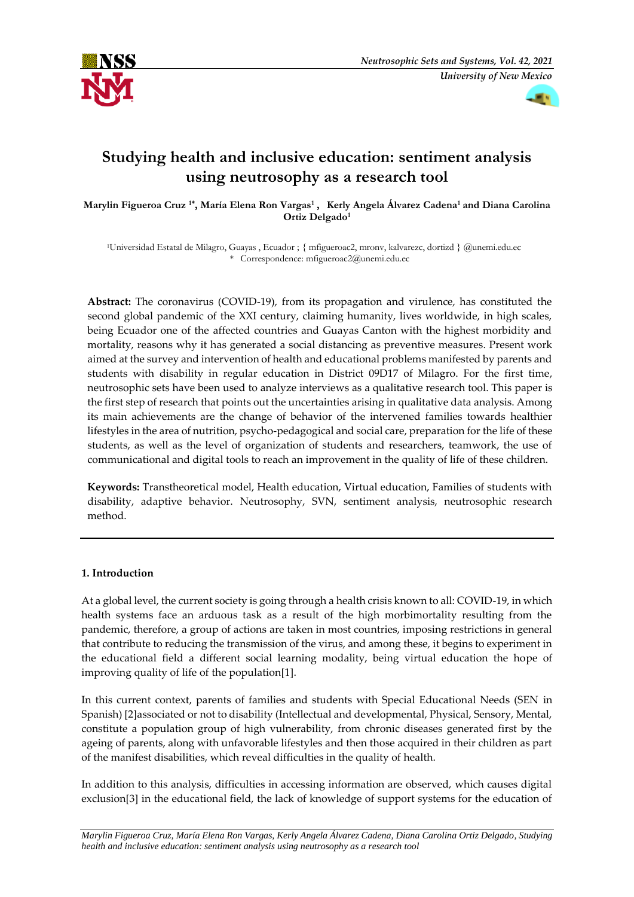



# **Studying health and inclusive education: sentiment analysis using neutrosophy as a research tool**

**Marylin Figueroa Cruz 1\* , María Elena Ron Vargas<sup>1</sup> , Kerly Angela Álvarez Cadena<sup>1</sup> and Diana Carolina Ortiz Delgado<sup>1</sup>**

<sup>1</sup>Universidad Estatal de Milagro, Guayas , Ecuador ; { mfigueroac2, mronv, kalvarezc, dortizd } @unemi.edu.ec \* Correspondence: mfigueroac2@unemi.edu.ec

**Abstract:** The coronavirus (COVID-19), from its propagation and virulence, has constituted the second global pandemic of the XXI century, claiming humanity, lives worldwide, in high scales, being Ecuador one of the affected countries and Guayas Canton with the highest morbidity and mortality, reasons why it has generated a social distancing as preventive measures. Present work aimed at the survey and intervention of health and educational problems manifested by parents and students with disability in regular education in District 09D17 of Milagro. For the first time, neutrosophic sets have been used to analyze interviews as a qualitative research tool. This paper is the first step of research that points out the uncertainties arising in qualitative data analysis. Among its main achievements are the change of behavior of the intervened families towards healthier lifestyles in the area of nutrition, psycho-pedagogical and social care, preparation for the life of these students, as well as the level of organization of students and researchers, teamwork, the use of communicational and digital tools to reach an improvement in the quality of life of these children.

**Keywords:** Transtheoretical model, Health education, Virtual education, Families of students with disability, adaptive behavior. Neutrosophy, SVN, sentiment analysis, neutrosophic research method.

## **1. Introduction**

At a global level, the current society is going through a health crisis known to all: COVID-19, in which health systems face an arduous task as a result of the high morbimortality resulting from the pandemic, therefore, a group of actions are taken in most countries, imposing restrictions in general that contribute to reducing the transmission of the virus, and among these, it begins to experiment in the educational field a different social learning modality, being virtual education the hope of improving quality of life of the population[1].

In this current context, parents of families and students with Special Educational Needs (SEN in Spanish) [2]associated or not to disability (Intellectual and developmental, Physical, Sensory, Mental, constitute a population group of high vulnerability, from chronic diseases generated first by the ageing of parents, along with unfavorable lifestyles and then those acquired in their children as part of the manifest disabilities, which reveal difficulties in the quality of health.

In addition to this analysis, difficulties in accessing information are observed, which causes digital exclusion[3] in the educational field, the lack of knowledge of support systems for the education of

*Marylin Figueroa Cruz, María Elena Ron Vargas, Kerly Angela Álvarez Cadena, Diana Carolina Ortiz Delgado, Studying health and inclusive education: sentiment analysis using neutrosophy as a research tool*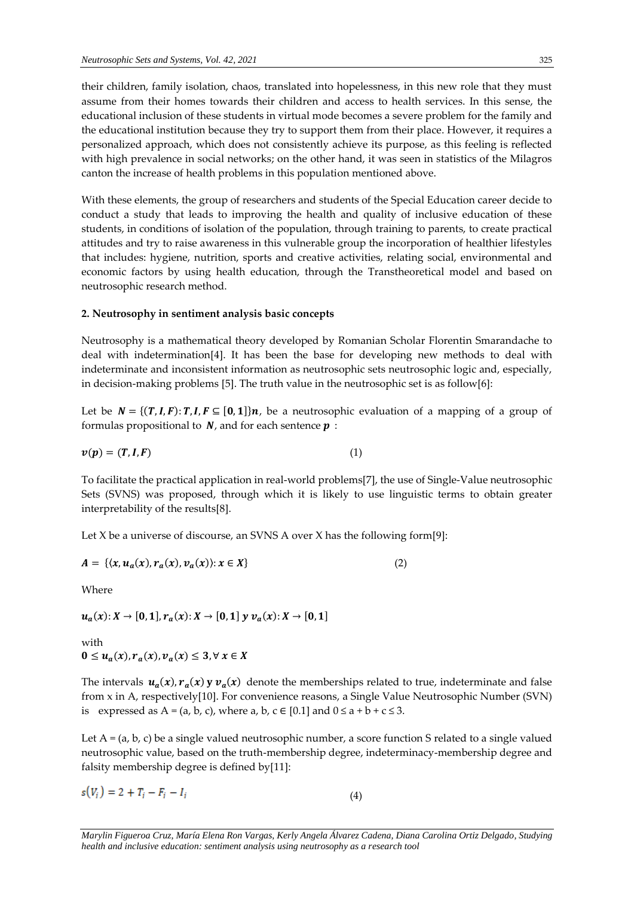their children, family isolation, chaos, translated into hopelessness, in this new role that they must assume from their homes towards their children and access to health services. In this sense, the educational inclusion of these students in virtual mode becomes a severe problem for the family and the educational institution because they try to support them from their place. However, it requires a personalized approach, which does not consistently achieve its purpose, as this feeling is reflected with high prevalence in social networks; on the other hand, it was seen in statistics of the Milagros canton the increase of health problems in this population mentioned above.

With these elements, the group of researchers and students of the Special Education career decide to conduct a study that leads to improving the health and quality of inclusive education of these students, in conditions of isolation of the population, through training to parents, to create practical attitudes and try to raise awareness in this vulnerable group the incorporation of healthier lifestyles that includes: hygiene, nutrition, sports and creative activities, relating social, environmental and economic factors by using health education, through the Transtheoretical model and based on neutrosophic research method.

## **2. Neutrosophy in sentiment analysis basic concepts**

Neutrosophy is a mathematical theory developed by Romanian Scholar Florentin Smarandache to deal with indetermination[4]. It has been the base for developing new methods to deal with indeterminate and inconsistent information as neutrosophic sets neutrosophic logic and, especially, in decision-making problems [5]. The truth value in the neutrosophic set is as follow[6]:

Let be  $N = \{ (T, I, F): T, I, F \subseteq [0, 1] \}$ , be a neutrosophic evaluation of a mapping of a group of formulas propositional to  $N$ , and for each sentence  $p$ :

$$
v(p) = (T, I, F) \tag{1}
$$

To facilitate the practical application in real-world problems[7], the use of Single-Value neutrosophic Sets (SVNS) was proposed, through which it is likely to use linguistic terms to obtain greater interpretability of the results[8].

Let X be a universe of discourse, an SVNS A over X has the following form[9]:

$$
A = \{ (x, u_a(x), r_a(x), v_a(x)) : x \in X \}
$$
 (2)

Where

 $u_a(x): X \to [0, 1], r_a(x): X \to [0, 1]$  y  $v_a(x): X \to [0, 1]$ 

with  $0 \le u_a(x), r_a(x), v_a(x) \le 3, \forall x \in X$ 

The intervals  $u_a(x)$ ,  $r_a(x)$  y  $v_a(x)$  denote the memberships related to true, indeterminate and false from x in A, respectively[10]. For convenience reasons, a Single Value Neutrosophic Number (SVN) is expressed as  $A = (a, b, c)$ , where a, b,  $c \in [0.1]$  and  $0 \le a + b + c \le 3$ .

Let  $A = (a, b, c)$  be a single valued neutrosophic number, a score function S related to a single valued neutrosophic value, based on the truth-membership degree, indeterminacy-membership degree and falsity membership degree is defined by[11]:

$$
s(V_i) = 2 + T_i - F_i - I_i \tag{4}
$$

*Marylin Figueroa Cruz, María Elena Ron Vargas, Kerly Angela Álvarez Cadena, Diana Carolina Ortiz Delgado, Studying health and inclusive education: sentiment analysis using neutrosophy as a research tool*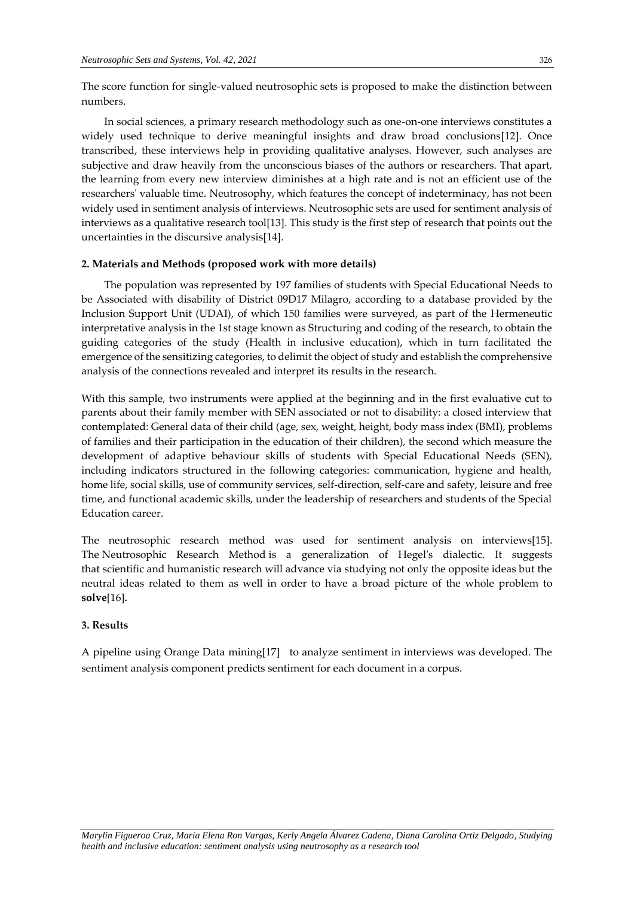The score function for single-valued neutrosophic sets is proposed to make the distinction between numbers.

In social sciences, a primary research methodology such as one-on-one interviews constitutes a widely used technique to derive meaningful insights and draw broad conclusions[12]. Once transcribed, these interviews help in providing qualitative analyses. However, such analyses are subjective and draw heavily from the unconscious biases of the authors or researchers. That apart, the learning from every new interview diminishes at a high rate and is not an efficient use of the researchers' valuable time. Neutrosophy, which features the concept of indeterminacy, has not been widely used in sentiment analysis of interviews. Neutrosophic sets are used for sentiment analysis of interviews as a qualitative research tool[13]. This study is the first step of research that points out the uncertainties in the discursive analysis[14].

#### **2. Materials and Methods (proposed work with more details)**

The population was represented by 197 families of students with Special Educational Needs to be Associated with disability of District 09D17 Milagro, according to a database provided by the Inclusion Support Unit (UDAI), of which 150 families were surveyed, as part of the Hermeneutic interpretative analysis in the 1st stage known as Structuring and coding of the research, to obtain the guiding categories of the study (Health in inclusive education), which in turn facilitated the emergence of the sensitizing categories, to delimit the object of study and establish the comprehensive analysis of the connections revealed and interpret its results in the research.

With this sample, two instruments were applied at the beginning and in the first evaluative cut to parents about their family member with SEN associated or not to disability: a closed interview that contemplated: General data of their child (age, sex, weight, height, body mass index (BMI), problems of families and their participation in the education of their children), the second which measure the development of adaptive behaviour skills of students with Special Educational Needs (SEN), including indicators structured in the following categories: communication, hygiene and health, home life, social skills, use of community services, self-direction, self-care and safety, leisure and free time, and functional academic skills, under the leadership of researchers and students of the Special Education career.

The neutrosophic research method was used for sentiment analysis on interviews[15]. The Neutrosophic Research Method is a generalization of Hegel's dialectic. It suggests that scientific and humanistic research will advance via studying not only the opposite ideas but the neutral ideas related to them as well in order to have a broad picture of the whole problem to **solve**[16]*.*

#### **3. Results**

A pipeline using Orange Data mining[17] to analyze sentiment in interviews was developed. The sentiment analysis component predicts sentiment for each document in a corpus.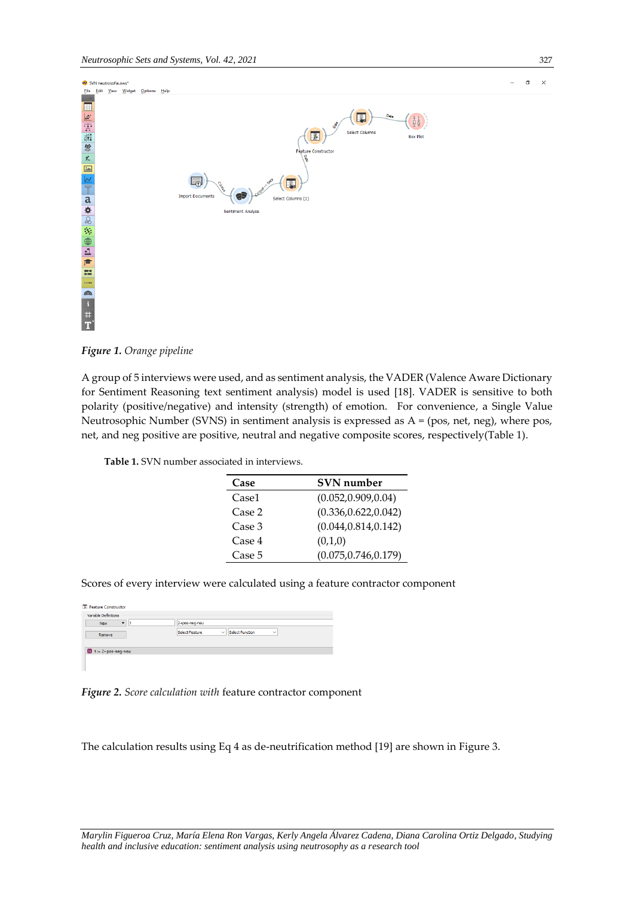

*Figure 1. Orange pipeline*

A group of 5 interviews were used, and as sentiment analysis, the VADER (Valence Aware Dictionary for Sentiment Reasoning text sentiment analysis) model is used [18]. VADER is sensitive to both polarity (positive/negative) and intensity (strength) of emotion. For convenience, a Single Value Neutrosophic Number (SVNS) in sentiment analysis is expressed as A = (pos, net, neg), where pos, net, and neg positive are positive, neutral and negative composite scores, respectively(Table 1).

|  | <b>Table 1.</b> SVN number associated in interviews. |  |  |  |  |
|--|------------------------------------------------------|--|--|--|--|
|--|------------------------------------------------------|--|--|--|--|

| Case   | <b>SVN</b> number     |  |  |  |
|--------|-----------------------|--|--|--|
| Case1  | (0.052, 0.909, 0.04)  |  |  |  |
| Case 2 | (0.336, 0.622, 0.042) |  |  |  |
| Case 3 | (0.044, 0.814, 0.142) |  |  |  |
| Case 4 | (0,1,0)               |  |  |  |
| Case 5 | (0.075, 0.746, 0.179) |  |  |  |

Scores of every interview were calculated using a feature contractor component

| Variable Definitions              |                                                                                 |
|-----------------------------------|---------------------------------------------------------------------------------|
| $\cdot$<br><b>New</b>             | 2+pos-neg-neu                                                                   |
| Remove                            | <b>Select Function</b><br><b>Select Feature</b><br>$\checkmark$<br>$\checkmark$ |
| $\blacksquare$ t := 2+pos-neg-neu |                                                                                 |

*Figure 2. Score calculation with* feature contractor component

The calculation results using Eq 4 as de-neutrification method [19] are shown in Figure 3.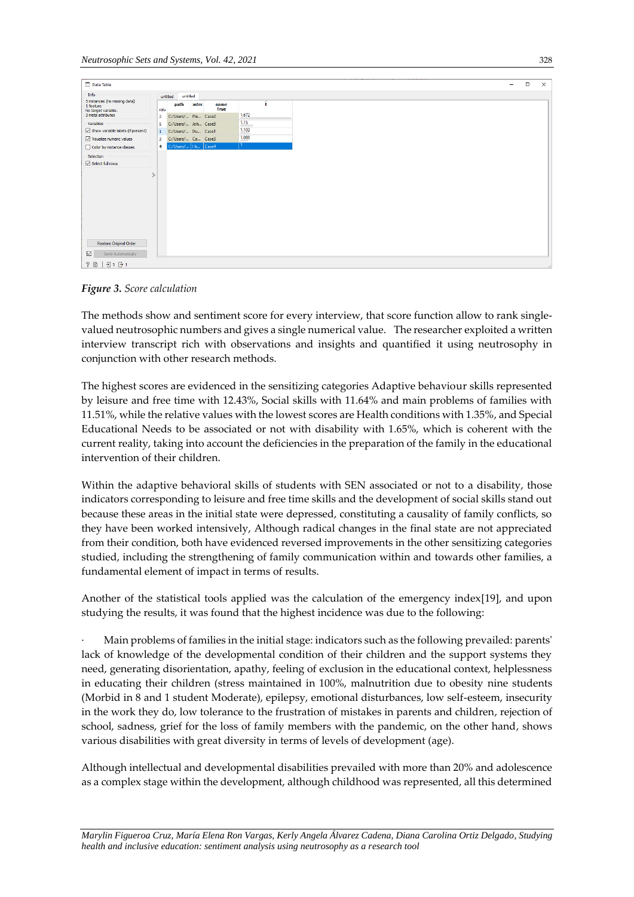| Data Table                                  |                |                         |       |                     |        |  |  |
|---------------------------------------------|----------------|-------------------------|-------|---------------------|--------|--|--|
| Info                                        |                | untitled<br>untitled    |       |                     |        |  |  |
| 5 instances (no missing data)               |                |                         |       |                     |        |  |  |
| 1 feature<br>No target variable.            | title          | path                    | onter | name<br><b>True</b> | ť      |  |  |
| 3 meta attributes                           | $\overline{2}$ | C:/Users/ Ple Case2     |       |                     | 1.672  |  |  |
| Variables                                   | 5              | C:/Users/ Joh Case5     |       |                     | $1.15$ |  |  |
| $\boxdot$ Show variable labels (if present) | $\mathbf{1}$   | C:/Users/ Du Case1      |       |                     | 1.103  |  |  |
| $\triangledown$ Visualize numeric values    | 3              | C:/Users/ Ca Case3      |       |                     | 1.088  |  |  |
| Color by instance classes                   | 4              | C:/Users/   I h   Case4 |       |                     |        |  |  |
| Selection                                   |                |                         |       |                     |        |  |  |
| Select full rows                            |                |                         |       |                     |        |  |  |
|                                             |                |                         |       |                     |        |  |  |
|                                             |                |                         |       |                     |        |  |  |
|                                             |                |                         |       |                     |        |  |  |
|                                             |                |                         |       |                     |        |  |  |
|                                             |                |                         |       |                     |        |  |  |
|                                             |                |                         |       |                     |        |  |  |
|                                             |                |                         |       |                     |        |  |  |
|                                             |                |                         |       |                     |        |  |  |
|                                             |                |                         |       |                     |        |  |  |
|                                             |                |                         |       |                     |        |  |  |
|                                             |                |                         |       |                     |        |  |  |
| Restore Original Order                      |                |                         |       |                     |        |  |  |
| $\boxdot$<br>Send Automatically             |                |                         |       |                     |        |  |  |
|                                             |                |                         |       |                     |        |  |  |

*Figure 3. Score calculation* 

The methods show and sentiment score for every interview, that score function allow to rank singlevalued neutrosophic numbers and gives a single numerical value. The researcher exploited a written interview transcript rich with observations and insights and quantified it using neutrosophy in conjunction with other research methods.

The highest scores are evidenced in the sensitizing categories Adaptive behaviour skills represented by leisure and free time with 12.43%, Social skills with 11.64% and main problems of families with 11.51%, while the relative values with the lowest scores are Health conditions with 1.35%, and Special Educational Needs to be associated or not with disability with 1.65%, which is coherent with the current reality, taking into account the deficiencies in the preparation of the family in the educational intervention of their children.

Within the adaptive behavioral skills of students with SEN associated or not to a disability, those indicators corresponding to leisure and free time skills and the development of social skills stand out because these areas in the initial state were depressed, constituting a causality of family conflicts, so they have been worked intensively, Although radical changes in the final state are not appreciated from their condition, both have evidenced reversed improvements in the other sensitizing categories studied, including the strengthening of family communication within and towards other families, a fundamental element of impact in terms of results.

Another of the statistical tools applied was the calculation of the emergency index[19], and upon studying the results, it was found that the highest incidence was due to the following:

· Main problems of families in the initial stage: indicators such as the following prevailed: parents' lack of knowledge of the developmental condition of their children and the support systems they need, generating disorientation, apathy, feeling of exclusion in the educational context, helplessness in educating their children (stress maintained in 100%, malnutrition due to obesity nine students (Morbid in 8 and 1 student Moderate), epilepsy, emotional disturbances, low self-esteem, insecurity in the work they do, low tolerance to the frustration of mistakes in parents and children, rejection of school, sadness, grief for the loss of family members with the pandemic, on the other hand, shows various disabilities with great diversity in terms of levels of development (age).

Although intellectual and developmental disabilities prevailed with more than 20% and adolescence as a complex stage within the development, although childhood was represented, all this determined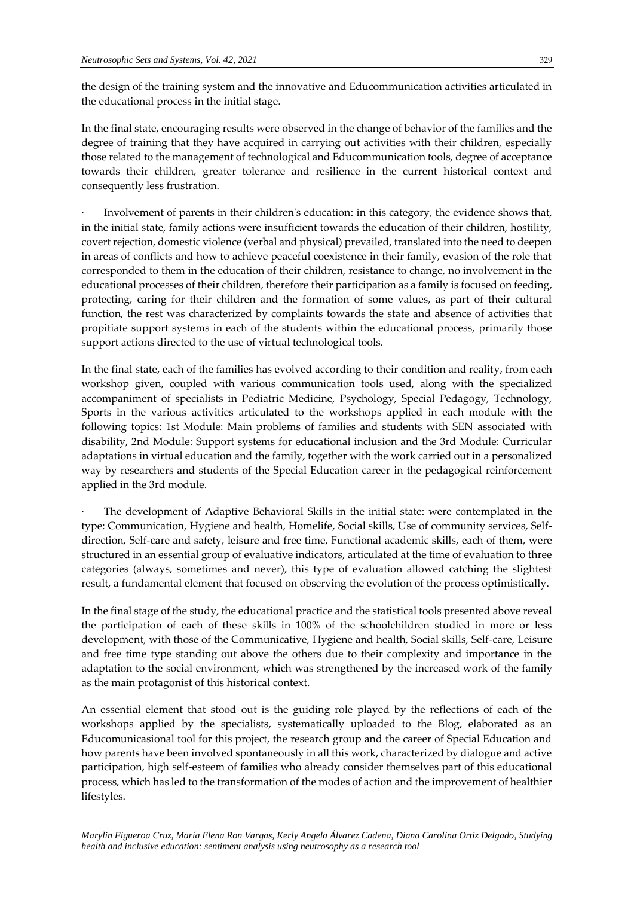the design of the training system and the innovative and Educommunication activities articulated in the educational process in the initial stage.

In the final state, encouraging results were observed in the change of behavior of the families and the degree of training that they have acquired in carrying out activities with their children, especially those related to the management of technological and Educommunication tools, degree of acceptance towards their children, greater tolerance and resilience in the current historical context and consequently less frustration.

Involvement of parents in their children's education: in this category, the evidence shows that, in the initial state, family actions were insufficient towards the education of their children, hostility, covert rejection, domestic violence (verbal and physical) prevailed, translated into the need to deepen in areas of conflicts and how to achieve peaceful coexistence in their family, evasion of the role that corresponded to them in the education of their children, resistance to change, no involvement in the educational processes of their children, therefore their participation as a family is focused on feeding, protecting, caring for their children and the formation of some values, as part of their cultural function, the rest was characterized by complaints towards the state and absence of activities that propitiate support systems in each of the students within the educational process, primarily those support actions directed to the use of virtual technological tools.

In the final state, each of the families has evolved according to their condition and reality, from each workshop given, coupled with various communication tools used, along with the specialized accompaniment of specialists in Pediatric Medicine, Psychology, Special Pedagogy, Technology, Sports in the various activities articulated to the workshops applied in each module with the following topics: 1st Module: Main problems of families and students with SEN associated with disability, 2nd Module: Support systems for educational inclusion and the 3rd Module: Curricular adaptations in virtual education and the family, together with the work carried out in a personalized way by researchers and students of the Special Education career in the pedagogical reinforcement applied in the 3rd module.

The development of Adaptive Behavioral Skills in the initial state: were contemplated in the type: Communication, Hygiene and health, Homelife, Social skills, Use of community services, Selfdirection, Self-care and safety, leisure and free time, Functional academic skills, each of them, were structured in an essential group of evaluative indicators, articulated at the time of evaluation to three categories (always, sometimes and never), this type of evaluation allowed catching the slightest result, a fundamental element that focused on observing the evolution of the process optimistically.

In the final stage of the study, the educational practice and the statistical tools presented above reveal the participation of each of these skills in 100% of the schoolchildren studied in more or less development, with those of the Communicative, Hygiene and health, Social skills, Self-care, Leisure and free time type standing out above the others due to their complexity and importance in the adaptation to the social environment, which was strengthened by the increased work of the family as the main protagonist of this historical context.

An essential element that stood out is the guiding role played by the reflections of each of the workshops applied by the specialists, systematically uploaded to the Blog, elaborated as an Educomunicasional tool for this project, the research group and the career of Special Education and how parents have been involved spontaneously in all this work, characterized by dialogue and active participation, high self-esteem of families who already consider themselves part of this educational process, which has led to the transformation of the modes of action and the improvement of healthier lifestyles.

*Marylin Figueroa Cruz, María Elena Ron Vargas, Kerly Angela Álvarez Cadena, Diana Carolina Ortiz Delgado, Studying health and inclusive education: sentiment analysis using neutrosophy as a research tool*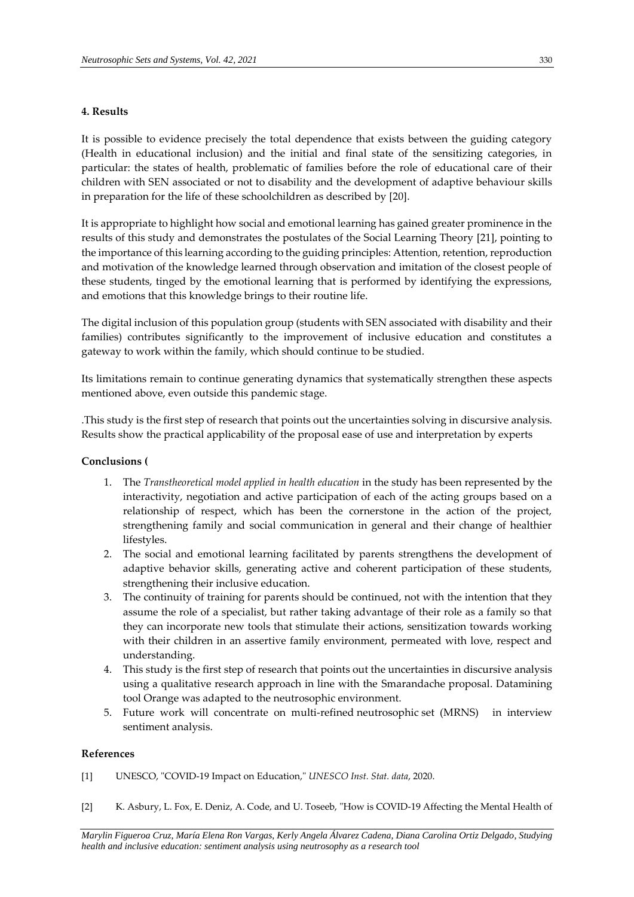## **4. Results**

It is possible to evidence precisely the total dependence that exists between the guiding category (Health in educational inclusion) and the initial and final state of the sensitizing categories, in particular: the states of health, problematic of families before the role of educational care of their children with SEN associated or not to disability and the development of adaptive behaviour skills in preparation for the life of these schoolchildren as described by [20].

It is appropriate to highlight how social and emotional learning has gained greater prominence in the results of this study and demonstrates the postulates of the Social Learning Theory [21], pointing to the importance of this learning according to the guiding principles: Attention, retention, reproduction and motivation of the knowledge learned through observation and imitation of the closest people of these students, tinged by the emotional learning that is performed by identifying the expressions, and emotions that this knowledge brings to their routine life.

The digital inclusion of this population group (students with SEN associated with disability and their families) contributes significantly to the improvement of inclusive education and constitutes a gateway to work within the family, which should continue to be studied.

Its limitations remain to continue generating dynamics that systematically strengthen these aspects mentioned above, even outside this pandemic stage.

.This study is the first step of research that points out the uncertainties solving in discursive analysis. Results show the practical applicability of the proposal ease of use and interpretation by experts

### **Conclusions (**

- 1. The *Transtheoretical model applied in health education* in the study has been represented by the interactivity, negotiation and active participation of each of the acting groups based on a relationship of respect, which has been the cornerstone in the action of the project, strengthening family and social communication in general and their change of healthier lifestyles.
- 2. The social and emotional learning facilitated by parents strengthens the development of adaptive behavior skills, generating active and coherent participation of these students, strengthening their inclusive education.
- 3. The continuity of training for parents should be continued, not with the intention that they assume the role of a specialist, but rather taking advantage of their role as a family so that they can incorporate new tools that stimulate their actions, sensitization towards working with their children in an assertive family environment, permeated with love, respect and understanding.
- 4. This study is the first step of research that points out the uncertainties in discursive analysis using a qualitative research approach in line with the Smarandache proposal. Datamining tool Orange was adapted to the neutrosophic environment.
- 5. Future work will concentrate on multi-refined neutrosophic set (MRNS) in interview sentiment analysis.

### **References**

- [1] UNESCO, "COVID-19 Impact on Education," *UNESCO Inst. Stat. data*, 2020.
- [2] K. Asbury, L. Fox, E. Deniz, A. Code, and U. Toseeb, "How is COVID-19 Affecting the Mental Health of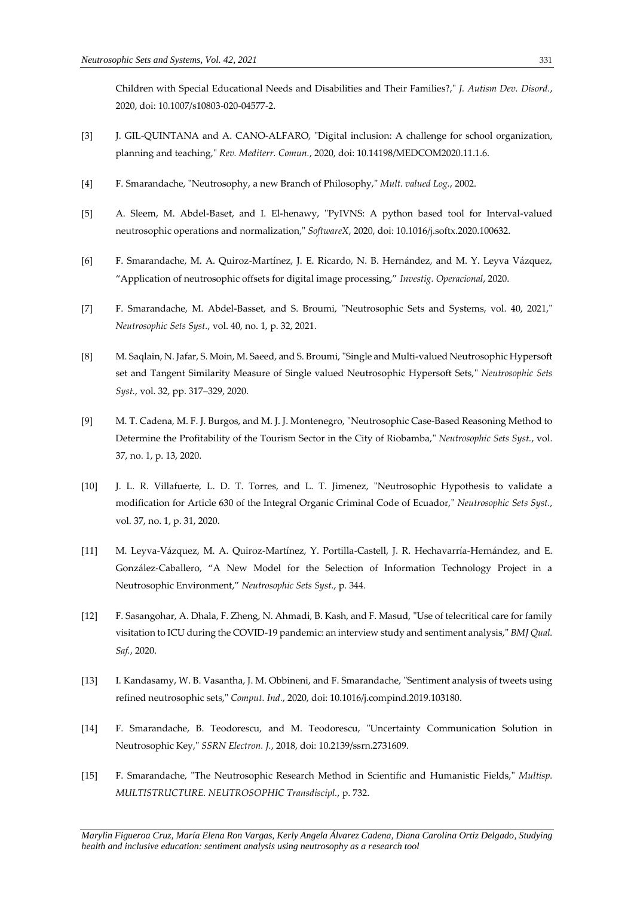Children with Special Educational Needs and Disabilities and Their Families?," *J. Autism Dev. Disord.*, 2020, doi: 10.1007/s10803-020-04577-2.

- [3] J. GIL-QUINTANA and A. CANO-ALFARO, "Digital inclusion: A challenge for school organization, planning and teaching," *Rev. Mediterr. Comun.*, 2020, doi: 10.14198/MEDCOM2020.11.1.6.
- [4] F. Smarandache, "Neutrosophy, a new Branch of Philosophy," *Mult. valued Log.*, 2002.
- [5] A. Sleem, M. Abdel-Baset, and I. El-henawy, "PyIVNS: A python based tool for Interval-valued neutrosophic operations and normalization," *SoftwareX*, 2020, doi: 10.1016/j.softx.2020.100632.
- [6] F. Smarandache, M. A. Quiroz-Martínez, J. E. Ricardo, N. B. Hernández, and M. Y. Leyva Vázquez, "Application of neutrosophic offsets for digital image processing," *Investig. Operacional*, 2020.
- [7] F. Smarandache, M. Abdel-Basset, and S. Broumi, "Neutrosophic Sets and Systems, vol. 40, 2021," *Neutrosophic Sets Syst.*, vol. 40, no. 1, p. 32, 2021.
- [8] M. Saqlain, N. Jafar, S. Moin, M. Saeed, and S. Broumi, "Single and Multi-valued Neutrosophic Hypersoft set and Tangent Similarity Measure of Single valued Neutrosophic Hypersoft Sets," *Neutrosophic Sets Syst.*, vol. 32, pp. 317–329, 2020.
- [9] M. T. Cadena, M. F. J. Burgos, and M. J. J. Montenegro, "Neutrosophic Case-Based Reasoning Method to Determine the Profitability of the Tourism Sector in the City of Riobamba," *Neutrosophic Sets Syst.*, vol. 37, no. 1, p. 13, 2020.
- [10] J. L. R. Villafuerte, L. D. T. Torres, and L. T. Jimenez, "Neutrosophic Hypothesis to validate a modification for Article 630 of the Integral Organic Criminal Code of Ecuador," *Neutrosophic Sets Syst.*, vol. 37, no. 1, p. 31, 2020.
- [11] M. Leyva-Vázquez, M. A. Quiroz-Martínez, Y. Portilla-Castell, J. R. Hechavarría-Hernández, and E. González-Caballero, "A New Model for the Selection of Information Technology Project in a Neutrosophic Environment," *Neutrosophic Sets Syst.*, p. 344.
- [12] F. Sasangohar, A. Dhala, F. Zheng, N. Ahmadi, B. Kash, and F. Masud, "Use of telecritical care for family visitation to ICU during the COVID-19 pandemic: an interview study and sentiment analysis," *BMJ Qual. Saf.*, 2020.
- [13] I. Kandasamy, W. B. Vasantha, J. M. Obbineni, and F. Smarandache, "Sentiment analysis of tweets using refined neutrosophic sets," *Comput. Ind.*, 2020, doi: 10.1016/j.compind.2019.103180.
- [14] F. Smarandache, B. Teodorescu, and M. Teodorescu, "Uncertainty Communication Solution in Neutrosophic Key," *SSRN Electron. J.*, 2018, doi: 10.2139/ssrn.2731609.
- [15] F. Smarandache, "The Neutrosophic Research Method in Scientific and Humanistic Fields," *Multisp. MULTISTRUCTURE. NEUTROSOPHIC Transdiscipl.*, p. 732.